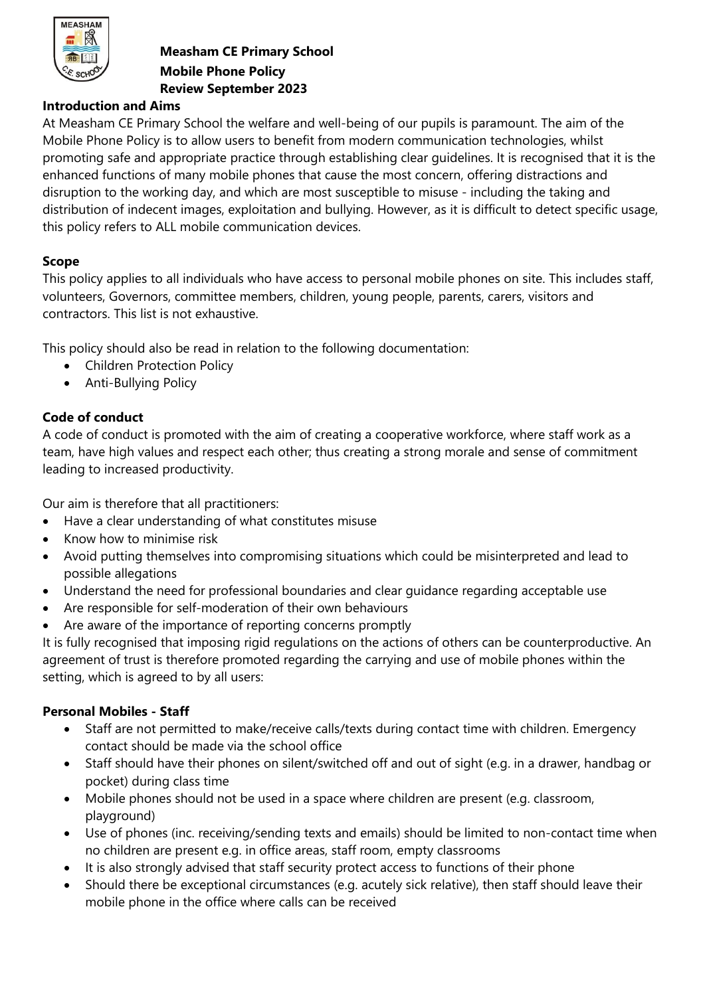

### **Measham CE Primary School Mobile Phone Policy Review September 2023**

#### **Introduction and Aims**

At Measham CE Primary School the welfare and well-being of our pupils is paramount. The aim of the Mobile Phone Policy is to allow users to benefit from modern communication technologies, whilst promoting safe and appropriate practice through establishing clear guidelines. It is recognised that it is the enhanced functions of many mobile phones that cause the most concern, offering distractions and disruption to the working day, and which are most susceptible to misuse - including the taking and distribution of indecent images, exploitation and bullying. However, as it is difficult to detect specific usage, this policy refers to ALL mobile communication devices.

### **Scope**

This policy applies to all individuals who have access to personal mobile phones on site. This includes staff, volunteers, Governors, committee members, children, young people, parents, carers, visitors and contractors. This list is not exhaustive.

This policy should also be read in relation to the following documentation:

- Children Protection Policy
- Anti-Bullying Policy

## **Code of conduct**

A code of conduct is promoted with the aim of creating a cooperative workforce, where staff work as a team, have high values and respect each other; thus creating a strong morale and sense of commitment leading to increased productivity.

Our aim is therefore that all practitioners:

- Have a clear understanding of what constitutes misuse
- Know how to minimise risk
- Avoid putting themselves into compromising situations which could be misinterpreted and lead to possible allegations
- Understand the need for professional boundaries and clear guidance regarding acceptable use
- Are responsible for self-moderation of their own behaviours
- Are aware of the importance of reporting concerns promptly

It is fully recognised that imposing rigid regulations on the actions of others can be counterproductive. An agreement of trust is therefore promoted regarding the carrying and use of mobile phones within the setting, which is agreed to by all users:

#### **Personal Mobiles - Staff**

- Staff are not permitted to make/receive calls/texts during contact time with children. Emergency contact should be made via the school office
- Staff should have their phones on silent/switched off and out of sight (e.g. in a drawer, handbag or pocket) during class time
- Mobile phones should not be used in a space where children are present (e.g. classroom, playground)
- Use of phones (inc. receiving/sending texts and emails) should be limited to non-contact time when no children are present e.g. in office areas, staff room, empty classrooms
- It is also strongly advised that staff security protect access to functions of their phone
- Should there be exceptional circumstances (e.g. acutely sick relative), then staff should leave their mobile phone in the office where calls can be received